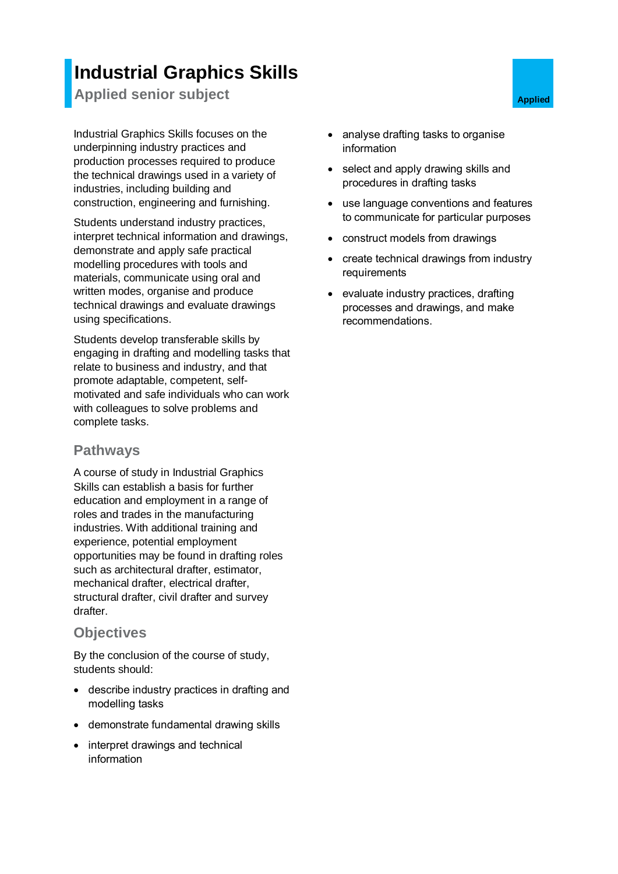# **Industrial Graphics Skills**

**Applied senior subject Applied Applied Applied** 

Industrial Graphics Skills focuses on the underpinning industry practices and production processes required to produce the technical drawings used in a variety of industries, including building and construction, engineering and furnishing.

Students understand industry practices, interpret technical information and drawings, demonstrate and apply safe practical modelling procedures with tools and materials, communicate using oral and written modes, organise and produce technical drawings and evaluate drawings using specifications.

Students develop transferable skills by engaging in drafting and modelling tasks that relate to business and industry, and that promote adaptable, competent, selfmotivated and safe individuals who can work with colleagues to solve problems and complete tasks.

## **Pathways**

A course of study in Industrial Graphics Skills can establish a basis for further education and employment in a range of roles and trades in the manufacturing industries. With additional training and experience, potential employment opportunities may be found in drafting roles such as architectural drafter, estimator, mechanical drafter, electrical drafter, structural drafter, civil drafter and survey drafter.

## **Objectives**

By the conclusion of the course of study, students should:

- describe industry practices in drafting and modelling tasks
- demonstrate fundamental drawing skills
- interpret drawings and technical information
- analyse drafting tasks to organise information
- select and apply drawing skills and procedures in drafting tasks
- use language conventions and features to communicate for particular purposes
- construct models from drawings
- create technical drawings from industry requirements
- evaluate industry practices, drafting processes and drawings, and make recommendations.